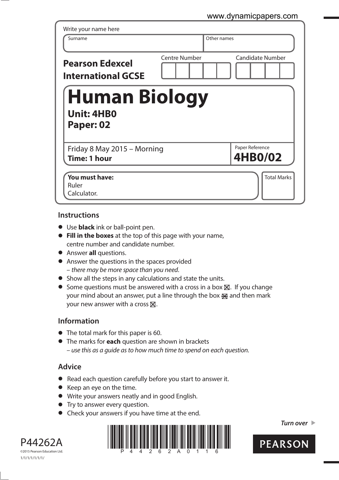## www.dynamicpapers.com

| Surname                                                | Other names   |                         |
|--------------------------------------------------------|---------------|-------------------------|
| <b>Pearson Edexcel</b><br><b>International GCSE</b>    | Centre Number | <b>Candidate Number</b> |
| <b>Human Biology</b><br><b>Unit: 4HB0</b><br>Paper: 02 |               |                         |
|                                                        |               | Paper Reference         |
| Friday 8 May 2015 - Morning<br><b>Time: 1 hour</b>     |               | <b>4HB0/02</b>          |

## **Instructions**

- **t** Use **black** ink or ball-point pen.
- **Fill in the boxes** at the top of this page with your name, centre number and candidate number.
- **•** Answer **all** questions.
- **•** Answer the questions in the spaces provided – there may be more space than you need.
- **•** Show all the steps in any calculations and state the units.
- $\bullet$  Some questions must be answered with a cross in a box  $\boxtimes$ . If you change your mind about an answer, put a line through the box  $\mathbb R$  and then mark your new answer with a cross  $\times$ .

## **Information**

- **•** The total mark for this paper is 60.
- **t** The marks for **each** question are shown in brackets – use this as a guide as to how much time to spend on each question.

## **Advice**

- **t** Read each question carefully before you start to answer it.
- **•** Keep an eye on the time.
- **t** Write your answers neatly and in good English.
- **•** Try to answer every question.
- **•** Check your answers if you have time at the end.





**Turn over** 

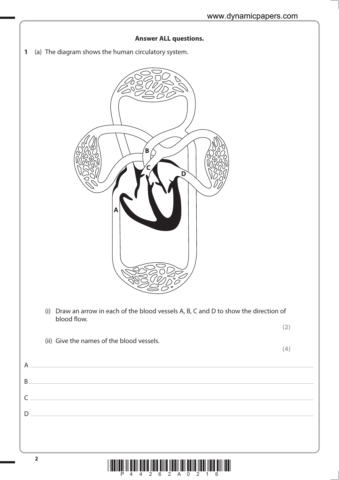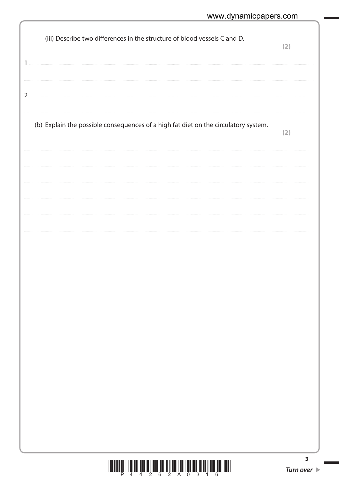| (iii) Describe two differences in the structure of blood vessels C and D.           | (2)              |
|-------------------------------------------------------------------------------------|------------------|
|                                                                                     |                  |
| 2                                                                                   |                  |
| (b) Explain the possible consequences of a high fat diet on the circulatory system. | (2)              |
|                                                                                     |                  |
|                                                                                     |                  |
|                                                                                     |                  |
|                                                                                     |                  |
|                                                                                     |                  |
|                                                                                     |                  |
|                                                                                     |                  |
|                                                                                     |                  |
|                                                                                     |                  |
|                                                                                     |                  |
| $2\overline{6}$ $2\overline{A}$ $0$<br>P.<br>$\ddot{4}$<br>4<br>3<br>6<br>1         | 3<br>Turn over 1 |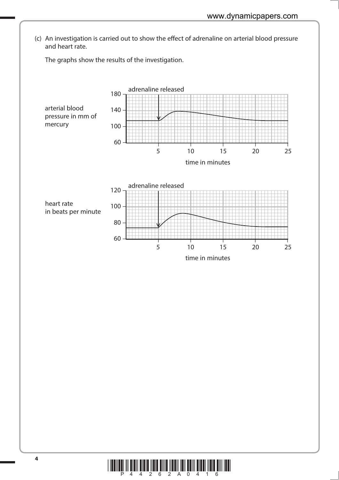(c) An investigation is carried out to show the effect of adrenaline on arterial blood pressure and heart rate.

The graphs show the results of the investigation.



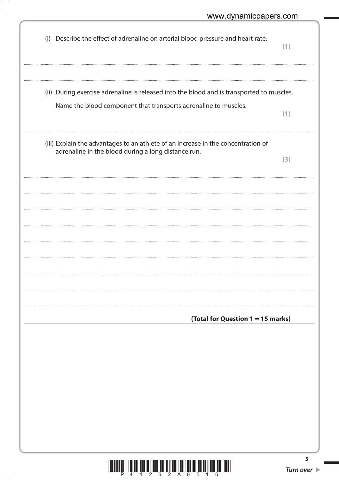| (i) Describe the effect of adrenaline on arterial blood pressure and heart rate.                                                                             | (1) |
|--------------------------------------------------------------------------------------------------------------------------------------------------------------|-----|
| (ii) During exercise adrenaline is released into the blood and is transported to muscles.<br>Name the blood component that transports adrenaline to muscles. |     |
|                                                                                                                                                              | (1) |
| (iii) Explain the advantages to an athlete of an increase in the concentration of<br>adrenaline in the blood during a long distance run.                     | (3) |
|                                                                                                                                                              |     |
|                                                                                                                                                              |     |
|                                                                                                                                                              |     |
|                                                                                                                                                              |     |
|                                                                                                                                                              |     |
| (Total for Question 1 = 15 marks)                                                                                                                            |     |
|                                                                                                                                                              |     |
|                                                                                                                                                              |     |
|                                                                                                                                                              |     |
|                                                                                                                                                              |     |
|                                                                                                                                                              | 5   |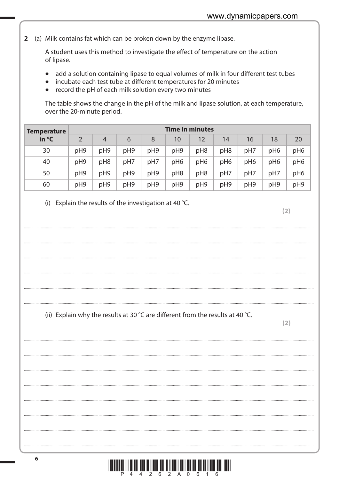(a) Milk contains fat which can be broken down by the enzyme lipase.  $\overline{2}$ 

> A student uses this method to investigate the effect of temperature on the action of lipase.

- add a solution containing lipase to equal volumes of milk in four different test tubes  $\bullet$
- incubate each test tube at different temperatures for 20 minutes
- record the pH of each milk solution every two minutes

The table shows the change in the pH of the milk and lipase solution, at each temperature, over the 20-minute period.

| <b>Temperature</b> |     |                 |     |     | <b>Time in minutes</b> |                 |                 |                 |                 |                 |
|--------------------|-----|-----------------|-----|-----|------------------------|-----------------|-----------------|-----------------|-----------------|-----------------|
| in °C              |     | $\overline{4}$  | 6   | 8   | 10                     | 12              | 14              | 16              | 18              | 20              |
| 30                 | pH9 | pH9             | pH9 | pH9 | pH9                    | pH <sub>8</sub> | pH <sub>8</sub> | pH7             | pH <sub>6</sub> | pH <sub>6</sub> |
| 40                 | pH9 | pH <sub>8</sub> | pH7 | pH7 | pH <sub>6</sub>        | pH <sub>6</sub> | pH <sub>6</sub> | pH <sub>6</sub> | pH <sub>6</sub> | pH <sub>6</sub> |
| 50                 | pH9 | pH9             | pH9 | pH9 | pH8                    | pH <sub>8</sub> | pH7             | pH7             | pH7             | pH <sub>6</sub> |
| 60                 | pH9 | pH9             | pH9 | pH9 | pH9                    | pH9             | pH9             | pH9             | pH9             | pH9             |

(i) Explain the results of the investigation at 40  $°C$ .

 $(2)$ 

(ii) Explain why the results at 30 °C are different from the results at 40 °C.

 $(2)$ 

<u>T IT BILDEN III DIE IT DER NEIDE RIJFER IN DIE REINE RIJFER DIE REIN I DE B</u> 4 2 6 2 A 0 6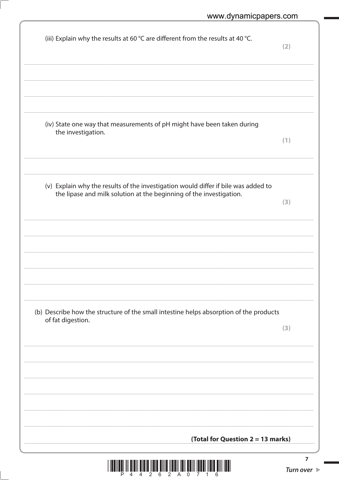| (iv) State one way that measurements of pH might have been taken during<br>the investigation.<br>(1)<br>(v) Explain why the results of the investigation would differ if bile was added to<br>the lipase and milk solution at the beginning of the investigation.<br>(3)<br>(b) Describe how the structure of the small intestine helps absorption of the products<br>of fat digestion.<br>(3) | (iii) Explain why the results at 60 °C are different from the results at 40 °C. | (2) |
|------------------------------------------------------------------------------------------------------------------------------------------------------------------------------------------------------------------------------------------------------------------------------------------------------------------------------------------------------------------------------------------------|---------------------------------------------------------------------------------|-----|
|                                                                                                                                                                                                                                                                                                                                                                                                |                                                                                 |     |
|                                                                                                                                                                                                                                                                                                                                                                                                |                                                                                 |     |
|                                                                                                                                                                                                                                                                                                                                                                                                |                                                                                 |     |
|                                                                                                                                                                                                                                                                                                                                                                                                |                                                                                 |     |
|                                                                                                                                                                                                                                                                                                                                                                                                |                                                                                 |     |
|                                                                                                                                                                                                                                                                                                                                                                                                |                                                                                 |     |
|                                                                                                                                                                                                                                                                                                                                                                                                |                                                                                 |     |
|                                                                                                                                                                                                                                                                                                                                                                                                |                                                                                 |     |
|                                                                                                                                                                                                                                                                                                                                                                                                |                                                                                 |     |
| (Total for Question 2 = 13 marks)                                                                                                                                                                                                                                                                                                                                                              |                                                                                 |     |

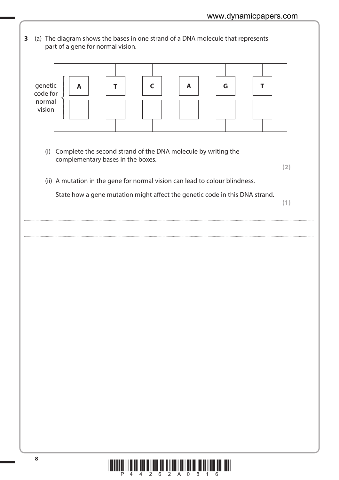- **3** (a) The diagram shows the bases in one strand of a DNA molecule that represents part of a gene for normal vision. genetic code for normal vision **A T** ⎧ ⎨  $\overline{a}$ ⎪ ⎩  $\overline{a}$  $\overline{a}$ **C** | A | | G | | T
	- (i) Complete the second strand of the DNA molecule by writing the complementary bases in the boxes.

 **(2)**

(ii) A mutation in the gene for normal vision can lead to colour blindness.

State how a gene mutation might affect the genetic code in this DNA strand.

....................................................................................................................................................................................................................................................................................

....................................................................................................................................................................................................................................................................................

**(1)**

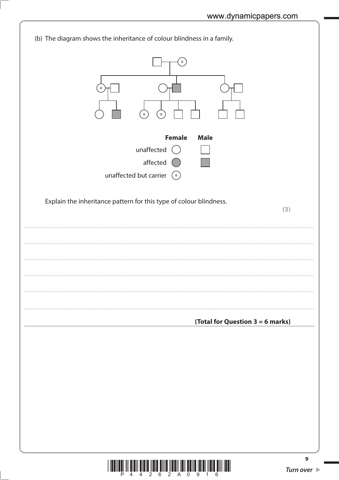

 $\frac{1}{4}$  and  $\frac{1}{4}$  and  $\frac{1}{2}$  in  $\frac{1}{6}$  and  $\frac{1}{2}$  and  $\frac{1}{8}$  and  $\frac{1}{9}$  and  $\frac{1}{4}$  and  $\frac{1}{6}$ 

Ш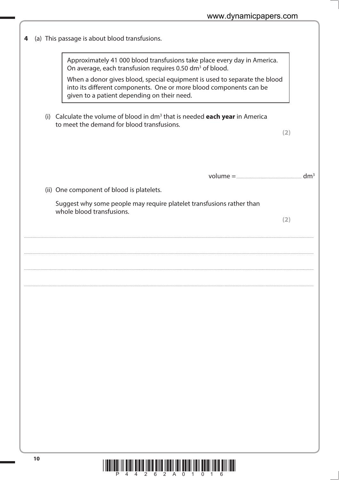| 4 | (a) This passage is about blood transfusions.                                                                                                                                                  |     |                 |
|---|------------------------------------------------------------------------------------------------------------------------------------------------------------------------------------------------|-----|-----------------|
|   | Approximately 41 000 blood transfusions take place every day in America.<br>On average, each transfusion requires 0.50 dm <sup>3</sup> of blood.                                               |     |                 |
|   | When a donor gives blood, special equipment is used to separate the blood<br>into its different components. One or more blood components can be<br>given to a patient depending on their need. |     |                 |
|   | (i) Calculate the volume of blood in $dm3$ that is needed each year in America<br>to meet the demand for blood transfusions.                                                                   | (2) |                 |
|   |                                                                                                                                                                                                |     |                 |
|   |                                                                                                                                                                                                |     | dm <sup>3</sup> |
|   | (ii) One component of blood is platelets.                                                                                                                                                      |     |                 |
|   | Suggest why some people may require platelet transfusions rather than<br>whole blood transfusions.                                                                                             |     |                 |
|   |                                                                                                                                                                                                | (2) |                 |
|   |                                                                                                                                                                                                |     |                 |
|   |                                                                                                                                                                                                |     |                 |
|   |                                                                                                                                                                                                |     |                 |
|   |                                                                                                                                                                                                |     |                 |
|   |                                                                                                                                                                                                |     |                 |
|   |                                                                                                                                                                                                |     |                 |
|   |                                                                                                                                                                                                |     |                 |
|   |                                                                                                                                                                                                |     |                 |
|   |                                                                                                                                                                                                |     |                 |
|   |                                                                                                                                                                                                |     |                 |
|   |                                                                                                                                                                                                |     |                 |
|   |                                                                                                                                                                                                |     |                 |
|   |                                                                                                                                                                                                |     |                 |
|   |                                                                                                                                                                                                |     |                 |
|   |                                                                                                                                                                                                |     |                 |
|   |                                                                                                                                                                                                |     |                 |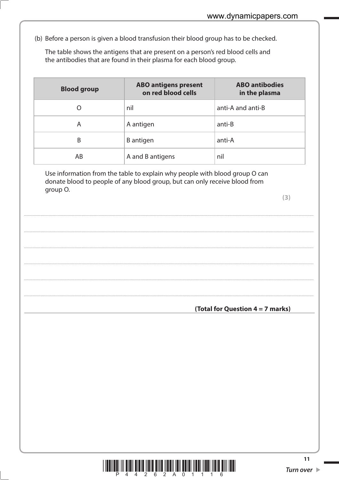(b) Before a person is given a blood transfusion their blood group has to be checked.

The table shows the antigens that are present on a person's red blood cells and the antibodies that are found in their plasma for each blood group.

| <b>Blood group</b> | <b>ABO antigens present</b><br>on red blood cells | <b>ABO antibodies</b><br>in the plasma |
|--------------------|---------------------------------------------------|----------------------------------------|
| O                  | nil                                               | anti-A and anti-B                      |
| Α                  | A antigen                                         | anti-B                                 |
| B                  | B antigen                                         | anti-A                                 |
| AB                 | A and B antigens                                  | nil                                    |

Use information from the table to explain why people with blood group O can donate blood to people of any blood group, but can only receive blood from group O.

 $(3)$ 

(Total for Question 4 = 7 marks)

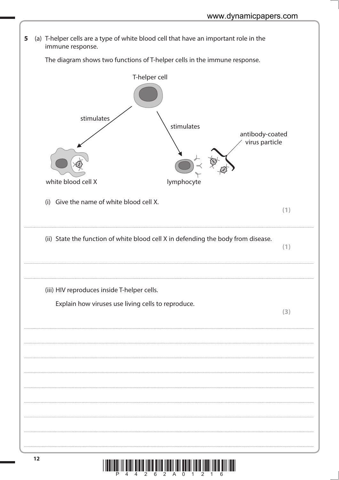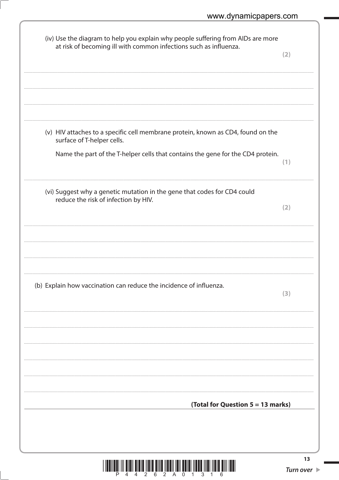| (iv) Use the diagram to help you explain why people suffering from AIDs are more<br>at risk of becoming ill with common infections such as influenza. | (2) |
|-------------------------------------------------------------------------------------------------------------------------------------------------------|-----|
|                                                                                                                                                       |     |
| (v) HIV attaches to a specific cell membrane protein, known as CD4, found on the<br>surface of T-helper cells.                                        |     |
| Name the part of the T-helper cells that contains the gene for the CD4 protein.                                                                       | (1) |
| (vi) Suggest why a genetic mutation in the gene that codes for CD4 could<br>reduce the risk of infection by HIV.                                      | (2) |
|                                                                                                                                                       |     |
| (b) Explain how vaccination can reduce the incidence of influenza.                                                                                    | 3)  |
|                                                                                                                                                       |     |
|                                                                                                                                                       |     |
| (Total for Question 5 = 13 marks)                                                                                                                     |     |
|                                                                                                                                                       |     |

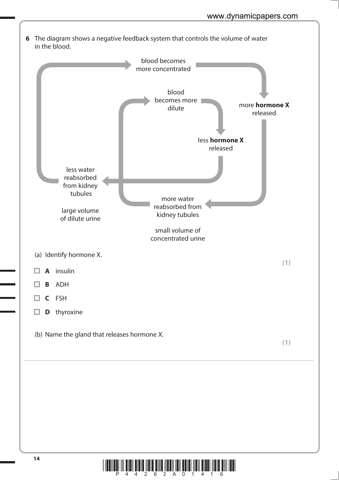

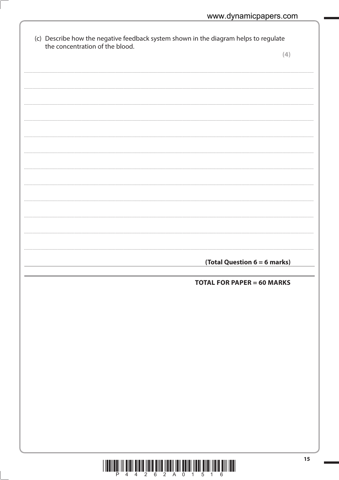| the concentration of the blood. | (4)                               |
|---------------------------------|-----------------------------------|
|                                 |                                   |
|                                 |                                   |
|                                 |                                   |
|                                 |                                   |
|                                 |                                   |
|                                 |                                   |
|                                 |                                   |
|                                 |                                   |
|                                 |                                   |
|                                 |                                   |
|                                 |                                   |
|                                 |                                   |
|                                 |                                   |
|                                 |                                   |
|                                 |                                   |
|                                 |                                   |
|                                 |                                   |
|                                 |                                   |
|                                 | (Total Question 6 = 6 marks)      |
|                                 |                                   |
|                                 | <b>TOTAL FOR PAPER = 60 MARKS</b> |
|                                 |                                   |
|                                 |                                   |
|                                 |                                   |
|                                 |                                   |
|                                 |                                   |
|                                 |                                   |
|                                 |                                   |
|                                 |                                   |
|                                 |                                   |
|                                 |                                   |
|                                 |                                   |